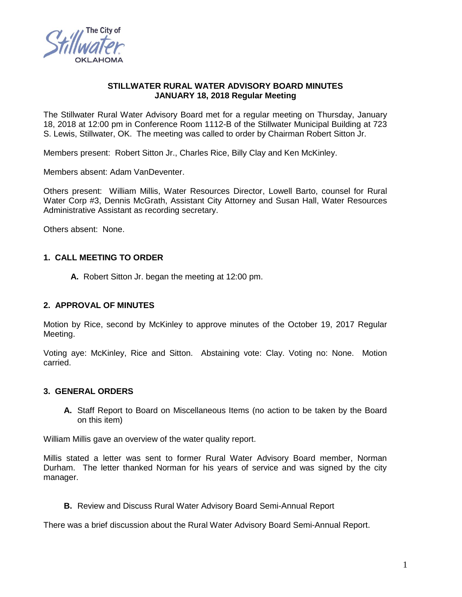

### **STILLWATER RURAL WATER ADVISORY BOARD MINUTES JANUARY 18, 2018 Regular Meeting**

The Stillwater Rural Water Advisory Board met for a regular meeting on Thursday, January 18, 2018 at 12:00 pm in Conference Room 1112-B of the Stillwater Municipal Building at 723 S. Lewis, Stillwater, OK. The meeting was called to order by Chairman Robert Sitton Jr.

Members present: Robert Sitton Jr., Charles Rice, Billy Clay and Ken McKinley.

Members absent: Adam VanDeventer.

Others present: William Millis, Water Resources Director, Lowell Barto, counsel for Rural Water Corp #3, Dennis McGrath, Assistant City Attorney and Susan Hall, Water Resources Administrative Assistant as recording secretary.

Others absent: None.

# **1. CALL MEETING TO ORDER**

**A.** Robert Sitton Jr. began the meeting at 12:00 pm.

#### **2. APPROVAL OF MINUTES**

Motion by Rice, second by McKinley to approve minutes of the October 19, 2017 Regular Meeting.

Voting aye: McKinley, Rice and Sitton. Abstaining vote: Clay. Voting no: None. Motion carried.

### **3. GENERAL ORDERS**

**A.** Staff Report to Board on Miscellaneous Items (no action to be taken by the Board on this item)

William Millis gave an overview of the water quality report.

Millis stated a letter was sent to former Rural Water Advisory Board member, Norman Durham. The letter thanked Norman for his years of service and was signed by the city manager.

**B.** Review and Discuss Rural Water Advisory Board Semi-Annual Report

There was a brief discussion about the Rural Water Advisory Board Semi-Annual Report.